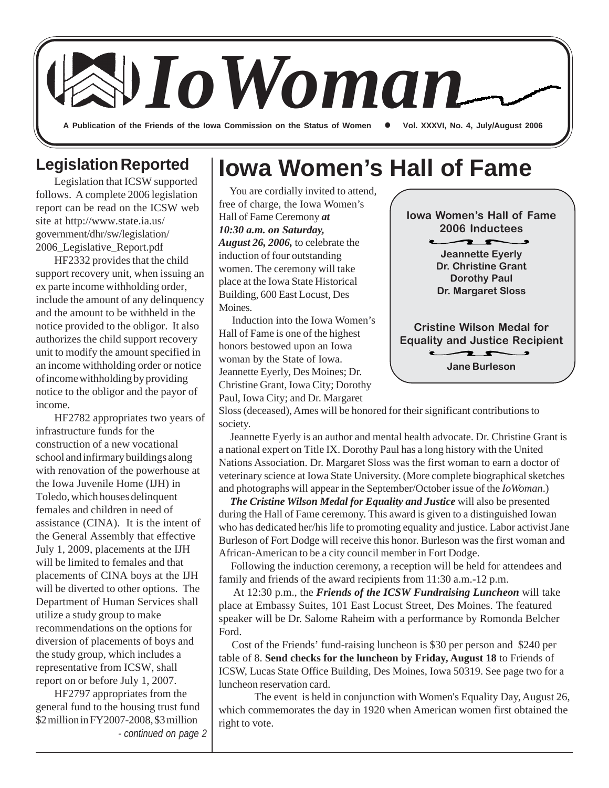

## **Legislation Reported**

Legislation that ICSW supported follows. A complete 2006 legislation report can be read on the ICSW web site at http://www.state.ia.us/ government/dhr/sw/legislation/ 2006\_Legislative\_Report.pdf

HF2332 provides that the child support recovery unit, when issuing an ex parte income withholding order, include the amount of any delinquency and the amount to be withheld in the notice provided to the obligor. It also authorizes the child support recovery unit to modify the amount specified in an income withholding order or notice of income withholding by providing notice to the obligor and the payor of income.

HF2782 appropriates two years of infrastructure funds for the construction of a new vocational school and infirmary buildings along with renovation of the powerhouse at the Iowa Juvenile Home (IJH) in Toledo, which houses delinquent females and children in need of assistance (CINA). It is the intent of the General Assembly that effective July 1, 2009, placements at the IJH will be limited to females and that placements of CINA boys at the IJH will be diverted to other options. The Department of Human Services shall utilize a study group to make recommendations on the options for diversion of placements of boys and the study group, which includes a representative from ICSW, shall report on or before July 1, 2007.

HF2797 appropriates from the general fund to the housing trust fund \$2 million in FY2007-2008, \$3 million *- continued on page 2*

## **Iowa Women's Hall of Fame**

 You are cordially invited to attend, free of charge, the Iowa Women's Hall of Fame Ceremony *at 10:30 a.m. on Saturday, August 26, 2006,* to celebrate the induction of four outstanding women. The ceremony will take place at the Iowa State Historical Building, 600 East Locust, Des Moines.

 Induction into the Iowa Women's Hall of Fame is one of the highest honors bestowed upon an Iowa woman by the State of Iowa. Jeannette Eyerly, Des Moines; Dr. Christine Grant, Iowa City; Dorothy Paul, Iowa City; and Dr. Margaret



Sloss (deceased), Ames will be honored for their significant contributions to society.

 Jeannette Eyerly is an author and mental health advocate. Dr. Christine Grant is a national expert on Title IX. Dorothy Paul has a long history with the United Nations Association. Dr. Margaret Sloss was the first woman to earn a doctor of veterinary science at Iowa State University. (More complete biographical sketches and photographs will appear in the September/October issue of the *IoWoman*.)

 *The Cristine Wilson Medal for Equality and Justice* will also be presented during the Hall of Fame ceremony. This award is given to a distinguished Iowan who has dedicated her/his life to promoting equality and justice. Labor activist Jane Burleson of Fort Dodge will receive this honor. Burleson was the first woman and African-American to be a city council member in Fort Dodge.

 Following the induction ceremony, a reception will be held for attendees and family and friends of the award recipients from 11:30 a.m.-12 p.m.

At 12:30 p.m., the *Friends of the ICSW Fundraising Luncheon* will take place at Embassy Suites, 101 East Locust Street, Des Moines. The featured speaker will be Dr. Salome Raheim with a performance by Romonda Belcher Ford.

 Cost of the Friends' fund-raising luncheon is \$30 per person and \$240 per table of 8. **Send checks for the luncheon by Friday, August 18** to Friends of ICSW, Lucas State Office Building, Des Moines, Iowa 50319. See page two for a luncheon reservation card.

The event is held in conjunction with Women's Equality Day, August 26, which commemorates the day in 1920 when American women first obtained the right to vote.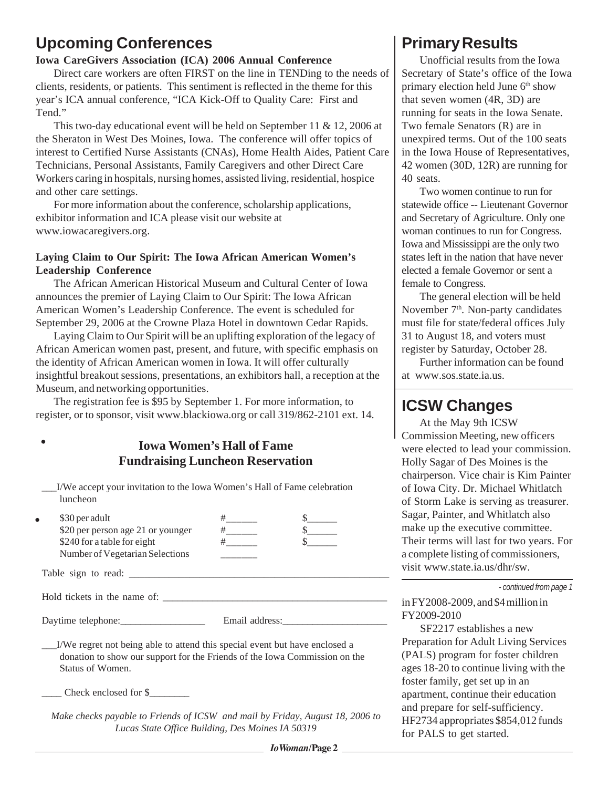## **Upcoming Conferences**

### **Iowa CareGivers Association (ICA) 2006 Annual Conference**

Direct care workers are often FIRST on the line in TENDing to the needs of clients, residents, or patients. This sentiment is reflected in the theme for this year's ICA annual conference, "ICA Kick-Off to Quality Care: First and Tend."

This two-day educational event will be held on September 11 & 12, 2006 at the Sheraton in West Des Moines, Iowa. The conference will offer topics of interest to Certified Nurse Assistants (CNAs), Home Health Aides, Patient Care Technicians, Personal Assistants, Family Caregivers and other Direct Care Workers caring in hospitals, nursing homes, assisted living, residential, hospice and other care settings.

For more information about the conference, scholarship applications, exhibitor information and ICA please visit our website at www.iowacaregivers.org.

#### **Laying Claim to Our Spirit: The Iowa African American Women's Leadership Conference**

The African American Historical Museum and Cultural Center of Iowa announces the premier of Laying Claim to Our Spirit: The Iowa African American Women's Leadership Conference. The event is scheduled for September 29, 2006 at the Crowne Plaza Hotel in downtown Cedar Rapids.

Laying Claim to Our Spirit will be an uplifting exploration of the legacy of African American women past, present, and future, with specific emphasis on the identity of African American women in Iowa. It will offer culturally insightful breakout sessions, presentations, an exhibitors hall, a reception at the Museum, and networking opportunities.

The registration fee is \$95 by September 1. For more information, to register, or to sponsor, visit www.blackiowa.org or call 319/862-2101 ext. 14.

## **Iowa Women's Hall of Fame Fundraising Luncheon Reservation**

\_\_\_I/We accept your invitation to the Iowa Women's Hall of Fame celebration luncheon

|                     | \$30 per adult                    |  |  |
|---------------------|-----------------------------------|--|--|
|                     | \$20 per person age 21 or younger |  |  |
|                     | \$240 for a table for eight       |  |  |
|                     | Number of Vegetarian Selections   |  |  |
| Table sign to read: |                                   |  |  |

Hold tickets in the name of: \_\_\_\_\_\_\_\_\_\_\_\_\_\_\_\_\_\_\_\_\_\_\_\_\_\_\_\_\_\_\_\_\_\_\_\_\_\_\_\_\_\_\_\_\_

Daytime telephone: <br> Email address:

 $\bullet$ 

\_\_\_I/We regret not being able to attend this special event but have enclosed a donation to show our support for the Friends of the Iowa Commission on the Status of Women.

\_\_\_\_ Check enclosed for \$\_\_\_\_\_\_\_\_

*Make checks payable to Friends of ICSW and mail by Friday, August 18, 2006 to Lucas State Office Building, Des Moines IA 50319*

#### *IoWoman***/Page 2**

## **Primary Results**

Unofficial results from the Iowa Secretary of State's office of the Iowa primary election held June  $6<sup>th</sup>$  show that seven women (4R, 3D) are running for seats in the Iowa Senate. Two female Senators (R) are in unexpired terms. Out of the 100 seats in the Iowa House of Representatives, 42 women (30D, 12R) are running for 40 seats.

Two women continue to run for statewide office -- Lieutenant Governor and Secretary of Agriculture. Only one woman continues to run for Congress. Iowa and Mississippi are the only two states left in the nation that have never elected a female Governor or sent a female to Congress.

The general election will be held November 7<sup>th</sup>. Non-party candidates must file for state/federal offices July 31 to August 18, and voters must register by Saturday, October 28.

Further information can be found at www.sos.state.ia.us.

## **ICSW Changes**

At the May 9th ICSW Commission Meeting, new officers were elected to lead your commission. Holly Sagar of Des Moines is the chairperson. Vice chair is Kim Painter of Iowa City. Dr. Michael Whitlatch of Storm Lake is serving as treasurer. Sagar, Painter, and Whitlatch also make up the executive committee. Their terms will last for two years. For a complete listing of commissioners, visit www.state.ia.us/dhr/sw.

*- continued from page 1*

in FY2008-2009, and \$4 million in FY2009-2010

SF2217 establishes a new Preparation for Adult Living Services (PALS) program for foster children ages 18-20 to continue living with the foster family, get set up in an apartment, continue their education and prepare for self-sufficiency. HF2734 appropriates \$854,012 funds for PALS to get started.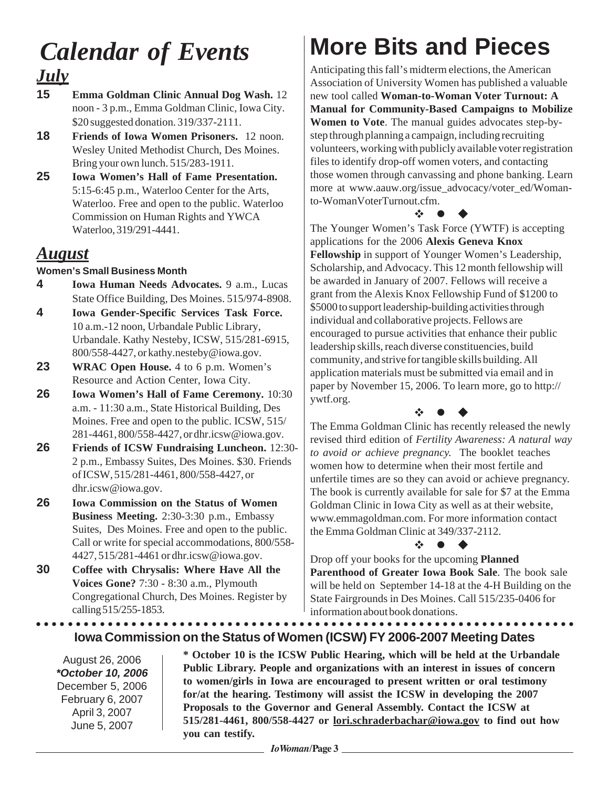# *July Calendar of Events*

- **15 Emma Goldman Clinic Annual Dog Wash.** 12 noon - 3 p.m., Emma Goldman Clinic, Iowa City. \$20 suggested donation. 319/337-2111.
- **18 Friends of Iowa Women Prisoners.** 12 noon. Wesley United Methodist Church, Des Moines. Bring your own lunch. 515/283-1911.
- **25 Iowa Women's Hall of Fame Presentation.** 5:15-6:45 p.m., Waterloo Center for the Arts, Waterloo. Free and open to the public. Waterloo Commission on Human Rights and YWCA Waterloo, 319/291-4441.

## *August*

### **Women's Small Business Month**

- **4 Iowa Human Needs Advocates.** 9 a.m., Lucas State Office Building, Des Moines. 515/974-8908.
- **4 Iowa Gender-Specific Services Task Force.** 10 a.m.-12 noon, Urbandale Public Library, Urbandale. Kathy Nesteby, ICSW, 515/281-6915, 800/558-4427, or kathy.nesteby@iowa.gov.
- **23 WRAC Open House.** 4 to 6 p.m. Women's Resource and Action Center, Iowa City.
- **26 Iowa Women's Hall of Fame Ceremony.** 10:30 a.m. - 11:30 a.m., State Historical Building, Des Moines. Free and open to the public. ICSW, 515/ 281-4461, 800/558-4427, or dhr.icsw@iowa.gov.
- **26 Friends of ICSW Fundraising Luncheon.** 12:30- 2 p.m., Embassy Suites, Des Moines. \$30. Friends of ICSW, 515/281-4461, 800/558-4427, or dhr.icsw@iowa.gov.
- **26 Iowa Commission on the Status of Women Business Meeting.** 2:30-3:30 p.m., Embassy Suites, Des Moines. Free and open to the public. Call or write for special accommodations, 800/558- 4427, 515/281-4461 or dhr.icsw@iowa.gov.
- **30 Coffee with Chrysalis: Where Have All the Voices Gone?** 7:30 - 8:30 a.m., Plymouth Congregational Church, Des Moines. Register by calling 515/255-1853.

# **More Bits and Pieces**

Anticipating this fall's midterm elections, the American Association of University Women has published a valuable new tool called **Woman-to-Woman Voter Turnout: A Manual for Community-Based Campaigns to Mobilize Women to Vote**. The manual guides advocates step-bystep through planning a campaign, including recruiting volunteers, working with publicly available voter registration files to identify drop-off women voters, and contacting those women through canvassing and phone banking. Learn more at www.aauw.org/issue advocacy/voter ed/Womanto-WomanVoterTurnout.cfm.

## z

The Younger Women's Task Force (YWTF) is accepting applications for the 2006 **Alexis Geneva Knox Fellowship** in support of Younger Women's Leadership, Scholarship, and Advocacy. This 12 month fellowship will be awarded in January of 2007. Fellows will receive a grant from the Alexis Knox Fellowship Fund of \$1200 to \$5000 to support leadership-building activities through individual and collaborative projects. Fellows are encouraged to pursue activities that enhance their public leadership skills, reach diverse constituencies, build community, and strive for tangible skills building. All application materials must be submitted via email and in paper by November 15, 2006. To learn more, go to http:// ywtf.org.

 $\ddot{\phi}$  and  $\dot{\phi}$ 

The Emma Goldman Clinic has recently released the newly revised third edition of *Fertility Awareness: A natural way to avoid or achieve pregnancy.* The booklet teaches women how to determine when their most fertile and unfertile times are so they can avoid or achieve pregnancy. The book is currently available for sale for \$7 at the Emma Goldman Clinic in Iowa City as well as at their website, www.emmagoldman.com. For more information contact the Emma Goldman Clinic at 349/337-2112.

#### $\mathbf{x}$   $\bullet$

Drop off your books for the upcoming **Planned Parenthood of Greater Iowa Book Sale**. The book sale will be held on September 14-18 at the 4-H Building on the State Fairgrounds in Des Moines. Call 515/235-0406 for information about book donations.

### **Iowa Commission on the Status of Women (ICSW) FY 2006-2007 Meeting Dates** ○○○○○○○○○○○○○○○○○○○○○○○○○○○○○○○○○○○○○○○○○○○○○ ○○○○○○○○○○○○○○○○○○○○○○○

August 26, 2006 *\*October 10, 2006* December 5, 2006 February 6, 2007 April 3, 2007 June 5, 2007

**\* October 10 is the ICSW Public Hearing, which will be held at the Urbandale Public Library. People and organizations with an interest in issues of concern to women/girls in Iowa are encouraged to present written or oral testimony for/at the hearing. Testimony will assist the ICSW in developing the 2007 Proposals to the Governor and General Assembly. Contact the ICSW at 515/281-4461, 800/558-4427 or lori.schraderbachar@iowa.gov to find out how you can testify.**